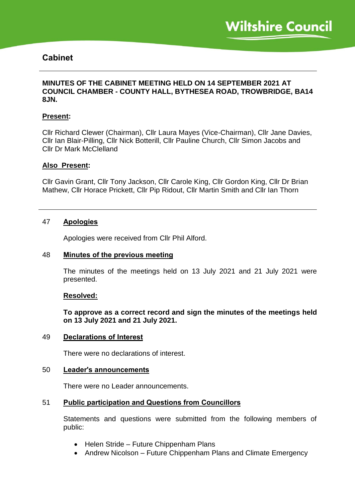# **Cabinet**

### **MINUTES OF THE CABINET MEETING HELD ON 14 SEPTEMBER 2021 AT COUNCIL CHAMBER - COUNTY HALL, BYTHESEA ROAD, TROWBRIDGE, BA14 8JN.**

#### **Present:**

Cllr Richard Clewer (Chairman), Cllr Laura Mayes (Vice-Chairman), Cllr Jane Davies, Cllr Ian Blair-Pilling, Cllr Nick Botterill, Cllr Pauline Church, Cllr Simon Jacobs and Cllr Dr Mark McClelland

#### **Also Present:**

Cllr Gavin Grant, Cllr Tony Jackson, Cllr Carole King, Cllr Gordon King, Cllr Dr Brian Mathew, Cllr Horace Prickett, Cllr Pip Ridout, Cllr Martin Smith and Cllr Ian Thorn

### 47 **Apologies**

Apologies were received from Cllr Phil Alford.

#### 48 **Minutes of the previous meeting**

The minutes of the meetings held on 13 July 2021 and 21 July 2021 were presented.

#### **Resolved:**

**To approve as a correct record and sign the minutes of the meetings held on 13 July 2021 and 21 July 2021.**

#### 49 **Declarations of Interest**

There were no declarations of interest.

#### 50 **Leader's announcements**

There were no Leader announcements.

#### 51 **Public participation and Questions from Councillors**

Statements and questions were submitted from the following members of public:

- Helen Stride Future Chippenham Plans
- Andrew Nicolson Future Chippenham Plans and Climate Emergency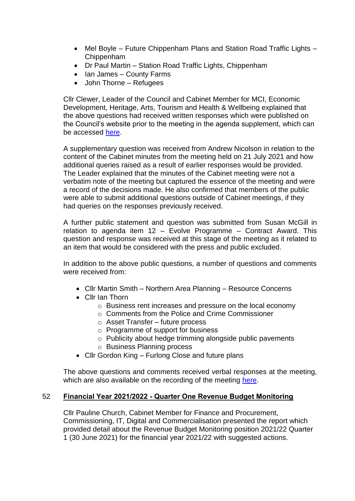- Mel Boyle Future Chippenham Plans and Station Road Traffic Lights Chippenham
- Dr Paul Martin Station Road Traffic Lights, Chippenham
- Ian James County Farms
- John Thorne Refugees

Cllr Clewer, Leader of the Council and Cabinet Member for MCI, Economic Development, Heritage, Arts, Tourism and Health & Wellbeing explained that the above questions had received written responses which were published on the Council's website prior to the meeting in the agenda supplement, which can be accessed [here.](https://cms.wiltshire.gov.uk/ieListDocuments.aspx?CId=141&MId=13771&Ver=4)

A supplementary question was received from Andrew Nicolson in relation to the content of the Cabinet minutes from the meeting held on 21 July 2021 and how additional queries raised as a result of earlier responses would be provided. The Leader explained that the minutes of the Cabinet meeting were not a verbatim note of the meeting but captured the essence of the meeting and were a record of the decisions made. He also confirmed that members of the public were able to submit additional questions outside of Cabinet meetings, if they had queries on the responses previously received.

A further public statement and question was submitted from Susan McGill in relation to agenda item 12 – Evolve Programme – Contract Award. This question and response was received at this stage of the meeting as it related to an item that would be considered with the press and public excluded.

In addition to the above public questions, a number of questions and comments were received from:

- Cllr Martin Smith Northern Area Planning Resource Concerns
- Cllr Ian Thorn
	- o Business rent increases and pressure on the local economy
	- o Comments from the Police and Crime Commissioner
	- o Asset Transfer future process
	- o Programme of support for business
	- o Publicity about hedge trimming alongside public pavements
	- o Business Planning process
- Cllr Gordon King Furlong Close and future plans

The above questions and comments received verbal responses at the meeting, which are also available on the recording of the meeting [here.](https://cms.wiltshire.gov.uk/ieListDocuments.aspx?CId=141&MId=13771&Ver=4)

## 52 **Financial Year 2021/2022 - Quarter One Revenue Budget Monitoring**

Cllr Pauline Church, Cabinet Member for Finance and Procurement, Commissioning, IT, Digital and Commercialisation presented the report which provided detail about the Revenue Budget Monitoring position 2021/22 Quarter 1 (30 June 2021) for the financial year 2021/22 with suggested actions.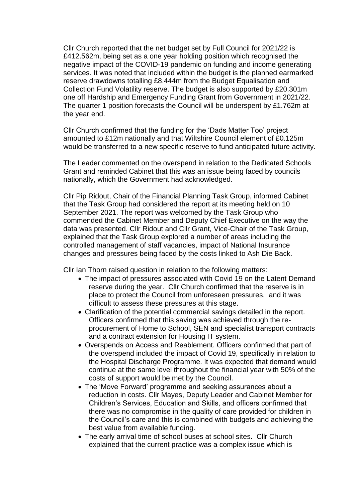Cllr Church reported that the net budget set by Full Council for 2021/22 is £412.562m, being set as a one year holding position which recognised the negative impact of the COVID-19 pandemic on funding and income generating services. It was noted that included within the budget is the planned earmarked reserve drawdowns totalling £8.444m from the Budget Equalisation and Collection Fund Volatility reserve. The budget is also supported by £20.301m one off Hardship and Emergency Funding Grant from Government in 2021/22. The quarter 1 position forecasts the Council will be underspent by £1.762m at the year end.

Cllr Church confirmed that the funding for the 'Dads Matter Too' project amounted to £12m nationally and that Wiltshire Council element of £0.125m would be transferred to a new specific reserve to fund anticipated future activity.

The Leader commented on the overspend in relation to the Dedicated Schools Grant and reminded Cabinet that this was an issue being faced by councils nationally, which the Government had acknowledged.

Cllr Pip Ridout, Chair of the Financial Planning Task Group, informed Cabinet that the Task Group had considered the report at its meeting held on 10 September 2021. The report was welcomed by the Task Group who commended the Cabinet Member and Deputy Chief Executive on the way the data was presented. Cllr Ridout and Cllr Grant, Vice-Chair of the Task Group, explained that the Task Group explored a number of areas including the controlled management of staff vacancies, impact of National Insurance changes and pressures being faced by the costs linked to Ash Die Back.

Cllr Ian Thorn raised question in relation to the following matters:

- The impact of pressures associated with Covid 19 on the Latent Demand reserve during the year. Cllr Church confirmed that the reserve is in place to protect the Council from unforeseen pressures, and it was difficult to assess these pressures at this stage.
- Clarification of the potential commercial savings detailed in the report. Officers confirmed that this saving was achieved through the reprocurement of Home to School, SEN and specialist transport contracts and a contract extension for Housing IT system.
- Overspends on Access and Reablement. Officers confirmed that part of the overspend included the impact of Covid 19, specifically in relation to the Hospital Discharge Programme. It was expected that demand would continue at the same level throughout the financial year with 50% of the costs of support would be met by the Council.
- The 'Move Forward' programme and seeking assurances about a reduction in costs. Cllr Mayes, Deputy Leader and Cabinet Member for Children's Services, Education and Skills, and officers confirmed that there was no compromise in the quality of care provided for children in the Council's care and this is combined with budgets and achieving the best value from available funding.
- The early arrival time of school buses at school sites. Cllr Church explained that the current practice was a complex issue which is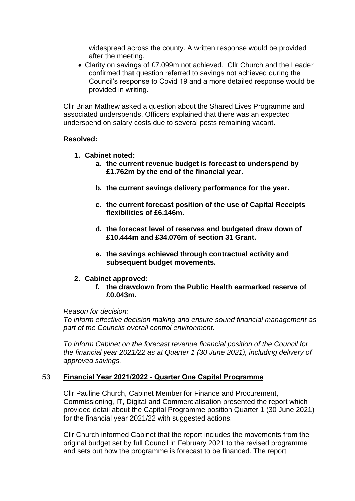widespread across the county. A written response would be provided after the meeting.

 Clarity on savings of £7.099m not achieved. Cllr Church and the Leader confirmed that question referred to savings not achieved during the Council's response to Covid 19 and a more detailed response would be provided in writing.

Cllr Brian Mathew asked a question about the Shared Lives Programme and associated underspends. Officers explained that there was an expected underspend on salary costs due to several posts remaining vacant.

#### **Resolved:**

- **1. Cabinet noted:**
	- **a. the current revenue budget is forecast to underspend by £1.762m by the end of the financial year.**
	- **b. the current savings delivery performance for the year.**
	- **c. the current forecast position of the use of Capital Receipts flexibilities of £6.146m.**
	- **d. the forecast level of reserves and budgeted draw down of £10.444m and £34.076m of section 31 Grant.**
	- **e. the savings achieved through contractual activity and subsequent budget movements.**

## **2. Cabinet approved:**

**f. the drawdown from the Public Health earmarked reserve of £0.043m.**

#### *Reason for decision:*

*To inform effective decision making and ensure sound financial management as part of the Councils overall control environment.*

*To inform Cabinet on the forecast revenue financial position of the Council for the financial year 2021/22 as at Quarter 1 (30 June 2021), including delivery of approved savings.*

## 53 **Financial Year 2021/2022 - Quarter One Capital Programme**

Cllr Pauline Church, Cabinet Member for Finance and Procurement, Commissioning, IT, Digital and Commercialisation presented the report which provided detail about the Capital Programme position Quarter 1 (30 June 2021) for the financial year 2021/22 with suggested actions.

Cllr Church informed Cabinet that the report includes the movements from the original budget set by full Council in February 2021 to the revised programme and sets out how the programme is forecast to be financed. The report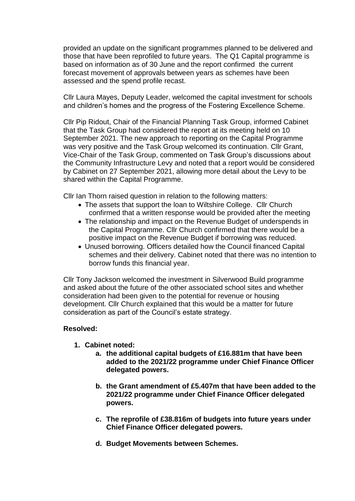provided an update on the significant programmes planned to be delivered and those that have been reprofiled to future years. The Q1 Capital programme is based on information as of 30 June and the report confirmed the current forecast movement of approvals between years as schemes have been assessed and the spend profile recast.

Cllr Laura Mayes, Deputy Leader, welcomed the capital investment for schools and children's homes and the progress of the Fostering Excellence Scheme.

Cllr Pip Ridout, Chair of the Financial Planning Task Group, informed Cabinet that the Task Group had considered the report at its meeting held on 10 September 2021. The new approach to reporting on the Capital Programme was very positive and the Task Group welcomed its continuation. Cllr Grant, Vice-Chair of the Task Group, commented on Task Group's discussions about the Community Infrastructure Levy and noted that a report would be considered by Cabinet on 27 September 2021, allowing more detail about the Levy to be shared within the Capital Programme.

Cllr Ian Thorn raised question in relation to the following matters:

- The assets that support the loan to Wiltshire College. Cllr Church confirmed that a written response would be provided after the meeting
- The relationship and impact on the Revenue Budget of underspends in the Capital Programme. Cllr Church confirmed that there would be a positive impact on the Revenue Budget if borrowing was reduced.
- Unused borrowing. Officers detailed how the Council financed Capital schemes and their delivery. Cabinet noted that there was no intention to borrow funds this financial year.

Cllr Tony Jackson welcomed the investment in Silverwood Build programme and asked about the future of the other associated school sites and whether consideration had been given to the potential for revenue or housing development. Cllr Church explained that this would be a matter for future consideration as part of the Council's estate strategy.

## **Resolved:**

- **1. Cabinet noted:**
	- **a. the additional capital budgets of £16.881m that have been added to the 2021/22 programme under Chief Finance Officer delegated powers.**
	- **b. the Grant amendment of £5.407m that have been added to the 2021/22 programme under Chief Finance Officer delegated powers.**
	- **c. The reprofile of £38.816m of budgets into future years under Chief Finance Officer delegated powers.**
	- **d. Budget Movements between Schemes.**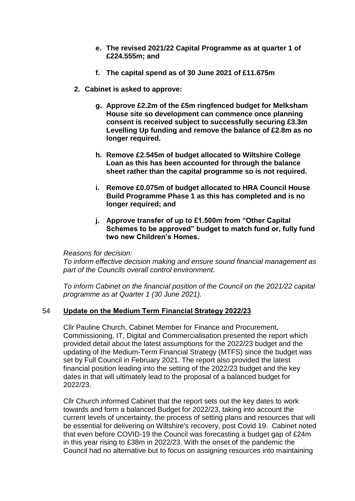- **e. The revised 2021/22 Capital Programme as at quarter 1 of £224.555m; and**
- **f. The capital spend as of 30 June 2021 of £11.675m**
- **2. Cabinet is asked to approve:**
	- **g. Approve £2.2m of the £5m ringfenced budget for Melksham House site so development can commence once planning consent is received subject to successfully securing £3.3m Levelling Up funding and remove the balance of £2.8m as no longer required.**
	- **h. Remove £2.545m of budget allocated to Wiltshire College Loan as this has been accounted for through the balance sheet rather than the capital programme so is not required.**
	- **i. Remove £0.075m of budget allocated to HRA Council House Build Programme Phase 1 as this has completed and is no longer required; and**
	- **j. Approve transfer of up to £1.500m from "Other Capital Schemes to be approved" budget to match fund or, fully fund two new Children's Homes.**

*Reasons for decision:*

*To inform effective decision making and ensure sound financial management as part of the Councils overall control environment.*

*To inform Cabinet on the financial position of the Council on the 2021/22 capital programme as at Quarter 1 (30 June 2021).*

## 54 **Update on the Medium Term Financial Strategy 2022/23**

Cllr Pauline Church, Cabinet Member for Finance and Procurement, Commissioning, IT, Digital and Commercialisation presented the report which provided detail about the latest assumptions for the 2022/23 budget and the updating of the Medium-Term Financial Strategy (MTFS) since the budget was set by Full Council in February 2021. The report also provided the latest financial position leading into the setting of the 2022/23 budget and the key dates in that will ultimately lead to the proposal of a balanced budget for 2022/23.

Cllr Church informed Cabinet that the report sets out the key dates to work towards and form a balanced Budget for 2022/23, taking into account the current levels of uncertainty, the process of setting plans and resources that will be essential for delivering on Wiltshire's recovery, post Covid 19. Cabinet noted that even before COVID-19 the Council was forecasting a budget gap of £24m in this year rising to £38m in 2022/23. With the onset of the pandemic the Council had no alternative but to focus on assigning resources into maintaining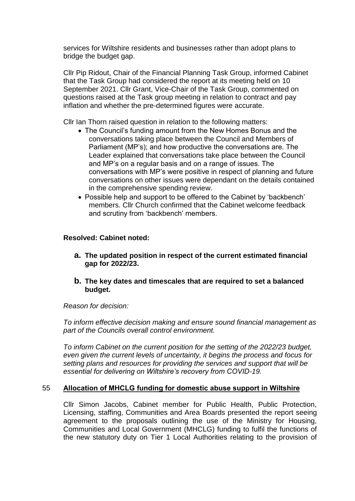services for Wiltshire residents and businesses rather than adopt plans to bridge the budget gap.

Cllr Pip Ridout, Chair of the Financial Planning Task Group, informed Cabinet that the Task Group had considered the report at its meeting held on 10 September 2021. Cllr Grant, Vice-Chair of the Task Group, commented on questions raised at the Task group meeting in relation to contract and pay inflation and whether the pre-determined figures were accurate.

Cllr Ian Thorn raised question in relation to the following matters:

- The Council's funding amount from the New Homes Bonus and the conversations taking place between the Council and Members of Parliament (MP's); and how productive the conversations are. The Leader explained that conversations take place between the Council and MP's on a regular basis and on a range of issues. The conversations with MP's were positive in respect of planning and future conversations on other issues were dependant on the details contained in the comprehensive spending review.
- Possible help and support to be offered to the Cabinet by 'backbench' members. Cllr Church confirmed that the Cabinet welcome feedback and scrutiny from 'backbench' members.

## **Resolved: Cabinet noted:**

- **a. The updated position in respect of the current estimated financial gap for 2022/23.**
- **b. The key dates and timescales that are required to set a balanced budget.**

*Reason for decision:*

*To inform effective decision making and ensure sound financial management as part of the Councils overall control environment.*

*To inform Cabinet on the current position for the setting of the 2022/23 budget, even given the current levels of uncertainty, it begins the process and focus for setting plans and resources for providing the services and support that will be essential for delivering on Wiltshire's recovery from COVID-19.*

#### 55 **Allocation of MHCLG funding for domestic abuse support in Wiltshire**

Cllr Simon Jacobs, Cabinet member for Public Health, Public Protection, Licensing, staffing, Communities and Area Boards presented the report seeing agreement to the proposals outlining the use of the Ministry for Housing, Communities and Local Government (MHCLG) funding to fulfil the functions of the new statutory duty on Tier 1 Local Authorities relating to the provision of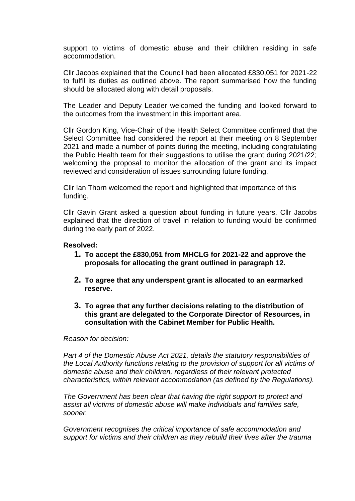support to victims of domestic abuse and their children residing in safe accommodation.

Cllr Jacobs explained that the Council had been allocated £830,051 for 2021-22 to fulfil its duties as outlined above. The report summarised how the funding should be allocated along with detail proposals.

The Leader and Deputy Leader welcomed the funding and looked forward to the outcomes from the investment in this important area.

Cllr Gordon King, Vice-Chair of the Health Select Committee confirmed that the Select Committee had considered the report at their meeting on 8 September 2021 and made a number of points during the meeting, including congratulating the Public Health team for their suggestions to utilise the grant during 2021/22; welcoming the proposal to monitor the allocation of the grant and its impact reviewed and consideration of issues surrounding future funding.

Cllr Ian Thorn welcomed the report and highlighted that importance of this funding.

Cllr Gavin Grant asked a question about funding in future years. Cllr Jacobs explained that the direction of travel in relation to funding would be confirmed during the early part of 2022.

### **Resolved:**

- **1. To accept the £830,051 from MHCLG for 2021-22 and approve the proposals for allocating the grant outlined in paragraph 12.**
- **2. To agree that any underspent grant is allocated to an earmarked reserve.**
- **3. To agree that any further decisions relating to the distribution of this grant are delegated to the Corporate Director of Resources, in consultation with the Cabinet Member for Public Health.**

*Reason for decision:*

*Part 4 of the Domestic Abuse Act 2021, details the statutory responsibilities of the Local Authority functions relating to the provision of support for all victims of domestic abuse and their children, regardless of their relevant protected characteristics, within relevant accommodation (as defined by the Regulations).*

*The Government has been clear that having the right support to protect and assist all victims of domestic abuse will make individuals and families safe, sooner.*

*Government recognises the critical importance of safe accommodation and support for victims and their children as they rebuild their lives after the trauma*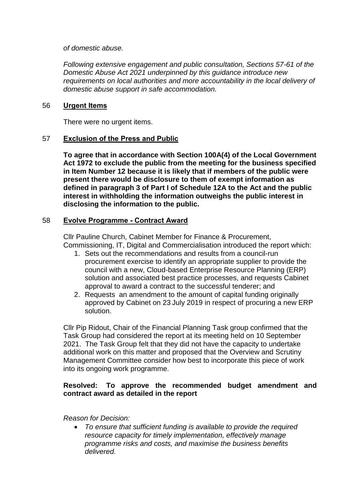*of domestic abuse.*

*Following extensive engagement and public consultation, Sections 57-61 of the Domestic Abuse Act 2021 underpinned by this guidance introduce new requirements on local authorities and more accountability in the local delivery of domestic abuse support in safe accommodation.*

## 56 **Urgent Items**

There were no urgent items.

## 57 **Exclusion of the Press and Public**

**To agree that in accordance with Section 100A(4) of the Local Government Act 1972 to exclude the public from the meeting for the business specified in Item Number 12 because it is likely that if members of the public were present there would be disclosure to them of exempt information as defined in paragraph 3 of Part I of Schedule 12A to the Act and the public interest in withholding the information outweighs the public interest in disclosing the information to the public.**

## 58 **Evolve Programme - Contract Award**

Cllr Pauline Church, Cabinet Member for Finance & Procurement, Commissioning, IT, Digital and Commercialisation introduced the report which:

- 1. Sets out the recommendations and results from a council-run procurement exercise to identify an appropriate supplier to provide the council with a new, Cloud-based Enterprise Resource Planning (ERP) solution and associated best practice processes, and requests Cabinet approval to award a contract to the successful tenderer; and
- 2. Requests an amendment to the amount of capital funding originally approved by Cabinet on 23 July 2019 in respect of procuring a new ERP solution.

Cllr Pip Ridout, Chair of the Financial Planning Task group confirmed that the Task Group had considered the report at its meeting held on 10 September 2021. The Task Group felt that they did not have the capacity to undertake additional work on this matter and proposed that the Overview and Scrutiny Management Committee consider how best to incorporate this piece of work into its ongoing work programme.

## **Resolved: To approve the recommended budget amendment and contract award as detailed in the report**

*Reason for Decision:*

 *To ensure that sufficient funding is available to provide the required resource capacity for timely implementation, effectively manage programme risks and costs, and maximise the business benefits delivered.*